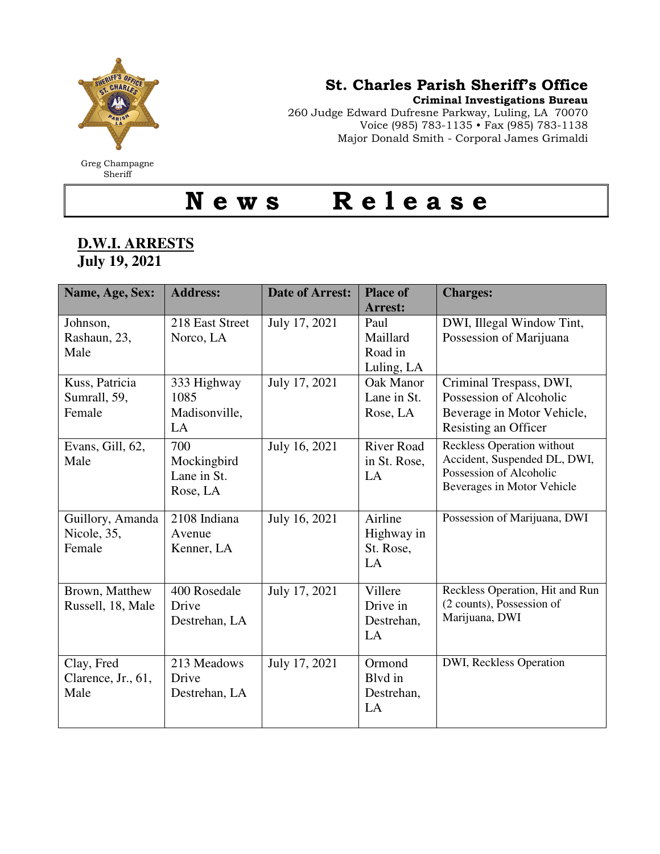

Greg Champagne **Sheriff** 

## St. Charles Parish Sheriff's Office

Criminal Investigations Bureau

260 Judge Edward Dufresne Parkway, Luling, LA 70070 Voice (985) 783-1135 • Fax (985) 783-1138 Major Donald Smith - Corporal James Grimaldi

News Release

## **D.W.I. ARRESTS July 19, 2021**

| Name, Age, Sex:                           | <b>Address:</b>                               | <b>Date of Arrest:</b> | <b>Place of</b><br><b>Arrest:</b>         | <b>Charges:</b>                                                                                                            |
|-------------------------------------------|-----------------------------------------------|------------------------|-------------------------------------------|----------------------------------------------------------------------------------------------------------------------------|
| Johnson,<br>Rashaun, 23,<br>Male          | 218 East Street<br>Norco, LA                  | July 17, 2021          | Paul<br>Maillard<br>Road in<br>Luling, LA | DWI, Illegal Window Tint,<br>Possession of Marijuana                                                                       |
| Kuss, Patricia<br>Sumrall, 59,<br>Female  | 333 Highway<br>1085<br>Madisonville,<br>LA    | July 17, 2021          | Oak Manor<br>Lane in St.<br>Rose, LA      | Criminal Trespass, DWI,<br>Possession of Alcoholic<br>Beverage in Motor Vehicle,<br>Resisting an Officer                   |
| Evans, Gill, 62,<br>Male                  | 700<br>Mockingbird<br>Lane in St.<br>Rose, LA | July 16, 2021          | <b>River Road</b><br>in St. Rose,<br>LA   | <b>Reckless Operation without</b><br>Accident, Suspended DL, DWI,<br>Possession of Alcoholic<br>Beverages in Motor Vehicle |
| Guillory, Amanda<br>Nicole, 35,<br>Female | 2108 Indiana<br>Avenue<br>Kenner, LA          | July 16, 2021          | Airline<br>Highway in<br>St. Rose,<br>LA  | Possession of Marijuana, DWI                                                                                               |
| Brown, Matthew<br>Russell, 18, Male       | 400 Rosedale<br>Drive<br>Destrehan, LA        | July 17, 2021          | Villere<br>Drive in<br>Destrehan,<br>LA   | Reckless Operation, Hit and Run<br>(2 counts), Possession of<br>Marijuana, DWI                                             |
| Clay, Fred<br>Clarence, Jr., 61,<br>Male  | 213 Meadows<br>Drive<br>Destrehan, LA         | July 17, 2021          | Ormond<br>Blyd in<br>Destrehan,<br>LA     | DWI, Reckless Operation                                                                                                    |